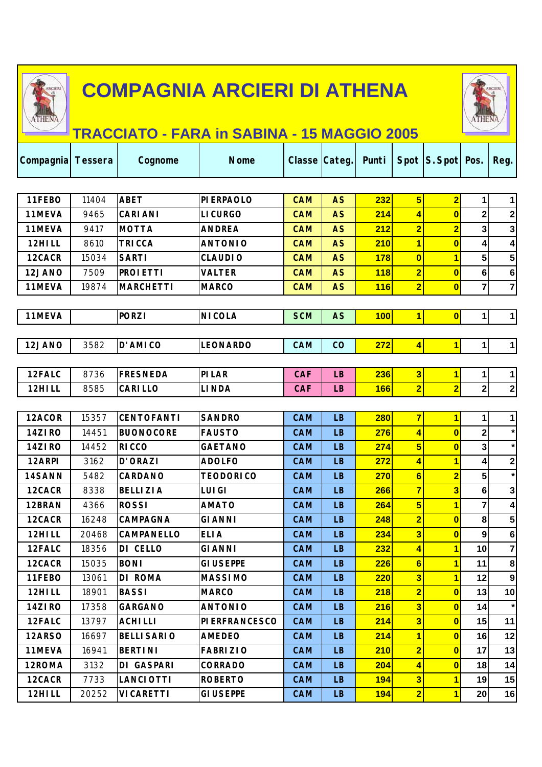

THE

Τ



Τ

## **TRACCIATO - FARA in SABINA - 15 MAGGIO 2005**

| Compagnia Tessera |       | Cognome           | <b>Nome</b>          | <b>Classe Categ</b> |           | Punti      |                         | Spot S. Spot Pos.       |                | Reg.                    |
|-------------------|-------|-------------------|----------------------|---------------------|-----------|------------|-------------------------|-------------------------|----------------|-------------------------|
|                   |       |                   |                      |                     |           |            |                         |                         |                |                         |
| 11FEBO            | 11404 | <b>ABET</b>       | <b>PIERPAOLO</b>     | <b>CAM</b>          | <b>AS</b> | 232        | $5\overline{)}$         | $\overline{2}$          | 1              | $\mathbf{1}$            |
| 11MEVA            | 9465  | <b>CARIANI</b>    | <b>LICURGO</b>       | <b>CAM</b>          | <b>AS</b> | 214        | 4                       | $\bf{0}$                | 2              | 2                       |
| 11MEVA            | 9417  | <b>MOTTA</b>      | <b>ANDREA</b>        | <b>CAM</b>          | <b>AS</b> | 212        | $\overline{\mathbf{2}}$ | $\overline{\mathbf{2}}$ | 3              | $\mathbf{3}$            |
| 12HILL            | 8610  | <b>TRICCA</b>     | <b>ANTONIO</b>       | <b>CAM</b>          | <b>AS</b> | 210        | $\overline{\mathbf{1}}$ | $\overline{0}$          | 4              | $\overline{\mathbf{4}}$ |
| 12CACR            | 15034 | <b>SARTI</b>      | <b>CLAUDIO</b>       | <b>CAM</b>          | <b>AS</b> | 178        | $\overline{\mathbf{0}}$ | 1                       | 5              | 5                       |
| 12JANO            | 7509  | <b>PROIETTI</b>   | <b>VALTER</b>        | <b>CAM</b>          | <b>AS</b> | <b>118</b> | $\overline{\mathbf{2}}$ | $\overline{\mathbf{0}}$ | 6              | $\bf 6$                 |
| 11MEVA            | 19874 | <b>MARCHETTI</b>  | <b>MARCO</b>         | <b>CAM</b>          | <b>AS</b> | <b>116</b> | $\overline{2}$          | $\overline{\mathbf{0}}$ | $\overline{7}$ | $\overline{7}$          |
|                   |       |                   |                      |                     |           |            |                         |                         |                |                         |
| 11MEVA            |       | <b>PORZI</b>      | <b>NICOLA</b>        | <b>SCM</b>          | <b>AS</b> | 100        | 1                       | $\overline{\mathbf{0}}$ | 1              | 1                       |
|                   |       |                   |                      |                     |           |            |                         |                         |                |                         |
| 12JANO            | 3582  | D'AMICO           | <b>LEONARDO</b>      | CAM                 | CO        | 272        | $\overline{\mathbf{r}}$ | $\mathbf{1}$            | $\mathbf{1}$   | $1\vert$                |
|                   |       |                   |                      |                     |           |            |                         |                         |                |                         |
| 12FALC            | 8736  | <b>FRESNEDA</b>   | PILAR                | <b>CAF</b>          | <b>LB</b> | 236        | $\overline{\mathbf{3}}$ | $\overline{\mathbf{1}}$ | 1              | 1                       |
| 12HILL            | 8585  | <b>CARILLO</b>    | <b>LINDA</b>         | <b>CAF</b>          | <b>LB</b> | <b>166</b> | $\overline{2}$          | $\overline{\mathbf{2}}$ | $2\vert$       | $\mathbf{2}$            |
|                   |       |                   |                      |                     |           |            |                         |                         |                |                         |
| 12ACOR            | 15357 | <b>CENTOFANTI</b> | <b>SANDRO</b>        | <b>CAM</b>          | <b>LB</b> | <b>280</b> | $\overline{7}$          | $\overline{\mathbf{1}}$ | 1              | $\mathbf{1}$            |
| 14ZIRO            | 14451 | <b>BUONOCORE</b>  | <b>FAUSTO</b>        | <b>CAM</b>          | <b>LB</b> | 276        | 4                       | $\bf{0}$                | 2              | $\star$                 |
| 14ZIRO            | 14452 | <b>RICCO</b>      | <b>GAETANO</b>       | <b>CAM</b>          | <b>LB</b> | 274        | $5\overline{)}$         | $\overline{\mathbf{0}}$ | 3              | $\star$                 |
| 12ARPI            | 3162  | <b>D'ORAZI</b>    | <b>ADOLFO</b>        | <b>CAM</b>          | <b>LB</b> | 272        | 4                       | $\overline{\mathbf{1}}$ | 4              | $\mathbf{2}$            |
| 14SANN            | 5482  | <b>CARDANO</b>    | <b>TEODORICO</b>     | <b>CAM</b>          | <b>LB</b> | 270        | $6\phantom{1}$          | $\overline{\mathbf{2}}$ | 5              | $\star$                 |
| 12CACR            | 8338  | <b>BELLIZIA</b>   | <b>LUIGI</b>         | <b>CAM</b>          | <b>LB</b> | 266        | $\overline{7}$          | $\overline{\mathbf{3}}$ | 6              | $\mathbf{3}$            |
| 12BRAN            | 4366  | <b>ROSSI</b>      | <b>AMATO</b>         | <b>CAM</b>          | <b>LB</b> | 264        | 5                       | $\overline{\mathbf{1}}$ | 7              | 4                       |
| 12CACR            | 16248 | CAMPAGNA          | <b>GIANNI</b>        | <b>CAM</b>          | <b>LB</b> | 248        | $\overline{\mathbf{2}}$ | $\bf{0}$                | 8              | 5                       |
| 12HILL            | 20468 | <b>CAMPANELLO</b> | <b>ELIA</b>          | <b>CAM</b>          | <b>LB</b> | 234        | $\overline{\mathbf{3}}$ | $\overline{\mathbf{0}}$ | 9              | $6\phantom{1}6$         |
| 12FALC            | 18356 | DI CELLO          | <b>GIANNI</b>        | <b>CAM</b>          | <b>LB</b> | 232        | $\vert \vert$           | $\overline{\mathbf{1}}$ | 10             | $\overline{7}$          |
| 12CACR            | 15035 | <b>BONI</b>       | <b>GIUSEPPE</b>      | <b>CAM</b>          | LB.       | <b>226</b> | $6 \mid$                | 11                      | 11             | 8                       |
| 11FEBO            | 13061 | <b>DI ROMA</b>    | <b>MASSIMO</b>       | <b>CAM</b>          | <b>LB</b> | 220        | $\overline{\mathbf{3}}$ | $\overline{\mathbf{1}}$ | 12             | 9                       |
| 12HILL            | 18901 | <b>BASSI</b>      | <b>MARCO</b>         | <b>CAM</b>          | <b>LB</b> | 218        | $\overline{\mathbf{2}}$ | $\overline{\mathbf{0}}$ | 13             | 10                      |
| 14ZIRO            | 17358 | <b>GARGANO</b>    | <b>ANTONIO</b>       | <b>CAM</b>          | LB.       | 216        | $\overline{\mathbf{3}}$ | $\bf{0}$                | 14             |                         |
| 12FALC            | 13797 | <b>ACHILLI</b>    | <b>PIERFRANCESCO</b> | <b>CAM</b>          | <b>LB</b> | 214        | $\overline{\mathbf{3}}$ | $\overline{\mathbf{0}}$ | 15             | 11                      |
| 12ARSO            | 16697 | <b>BELLISARIO</b> | <b>AMEDEO</b>        | <b>CAM</b>          | <b>LB</b> | 214        | $\overline{\mathbf{1}}$ | $\overline{\mathbf{0}}$ | 16             | 12                      |
| 11MEVA            | 16941 | <b>BERTINI</b>    | <b>FABRIZIO</b>      | <b>CAM</b>          | LB.       | 210        | $\overline{2}$          | $\overline{\mathbf{0}}$ | 17             | 13                      |
| 12ROMA            | 3132  | <b>DI GASPARI</b> | <b>CORRADO</b>       | <b>CAM</b>          | <b>LB</b> | 204        | $\vert \vert$           | $\overline{\mathbf{0}}$ | 18             | 14                      |
| 12CACR            | 7733  | <b>LANCIOTTI</b>  | <b>ROBERTO</b>       | <b>CAM</b>          | <b>LB</b> | 194        | $\overline{\mathbf{3}}$ | $\overline{\mathbf{1}}$ | 19             | 15                      |
| 12HILL            | 20252 | <b>VICARETTI</b>  | <b>GIUSEPPE</b>      | <b>CAM</b>          | LB        | 194        | $\overline{\mathbf{2}}$ | $\mathbf{1}$            | 20             | 16                      |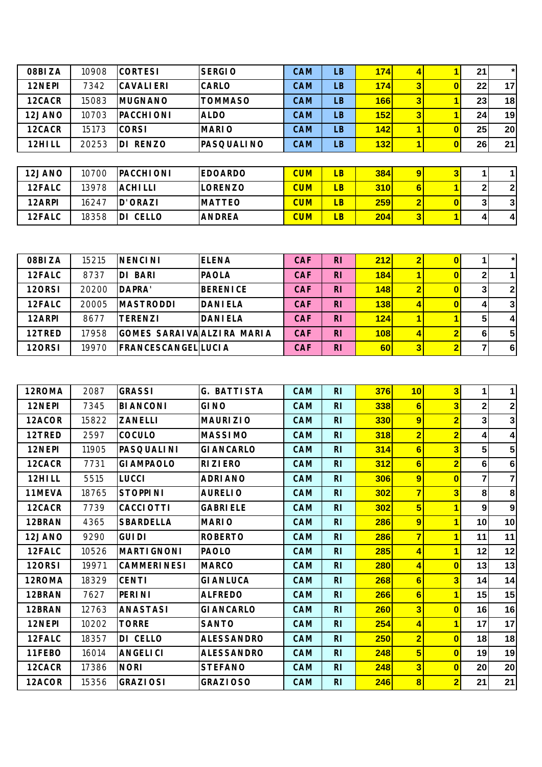| 08BIZA | 10908 | <b>CORTESI</b>     | <b>SERGIO</b>  | <b>CAM</b> | <b>LB</b>       | 174        | 4              |              | 21           | $\star$      |
|--------|-------|--------------------|----------------|------------|-----------------|------------|----------------|--------------|--------------|--------------|
| 12NEPI | 7342  | <b>CAVALIERI</b>   | CARLO          | <b>CAM</b> | <b>LB</b>       | 174        | 3 <sup>l</sup> | 0            | 22           | 17           |
| 12CACR | 15083 | <b>IMUGNANO</b>    | <b>TOMMASO</b> | <b>CAM</b> | <b>LB</b>       | <b>166</b> | 3 <sup>l</sup> |              | 23           | 18           |
| 12JANO | 10703 | <b>PACCHIONI</b>   | <b>ALDO</b>    | <b>CAM</b> | <b>LB</b>       | 152        | 3 <sup>l</sup> |              | 24           | 19           |
| 12CACR | 15173 | <b>CORSI</b>       | <b>MARIO</b>   | <b>CAM</b> | LB <sup>1</sup> | 142        |                | $\bf{0}$     | 25           | 20           |
| 12HILL | 20253 | <b>RENZO</b><br>DI | IPASQUALI NO   | <b>CAM</b> | <b>LB</b>       | 132        |                | $\bf{0}$     | 26           | 21           |
|        |       |                    |                |            |                 |            |                |              |              |              |
| 12JANO | 10700 | <b>PACCHIONI</b>   | <b>EDOARDO</b> | <b>CUM</b> | LB              | <b>384</b> | $\overline{9}$ | 3            |              |              |
| 12FALC | 13978 | <b>ACHILLI</b>     | LORENZO        | <b>CUM</b> | LB              | <b>310</b> | 6              |              |              | $\mathbf{2}$ |
| 12ARPI | 16247 | D'ORAZI            | <b>MATTEO</b>  | <b>CUM</b> | LB              | 259        | $\overline{2}$ | $\mathbf{0}$ | $\mathbf{3}$ | 3            |
| 12FALC | 18358 | DI CELLO           | <b>ANDREA</b>  | <b>CUM</b> | LB              | 204        | 3 <sup>1</sup> |              | 41           | $\vert$      |

| 08BIZA | 15215 | <b>INENCINI</b>             | <b>IELENA</b>    | <b>CAF</b> | R <sub>1</sub> | 212 |              |   | $\star$        |
|--------|-------|-----------------------------|------------------|------------|----------------|-----|--------------|---|----------------|
| 12FALC | 8737  | <b>BARI</b><br>DI           | <b>IPAOLA</b>    | <b>CAF</b> | <b>RI</b>      | 184 |              |   |                |
| 12ORSI | 20200 | DAPRA'                      | <b>IBERENICE</b> | <b>CAF</b> | <b>RI</b>      | 148 |              | 3 | $\overline{2}$ |
| 12FALC | 20005 | <b>IMASTRODDI</b>           | <b>DANIELA</b>   | <b>CAF</b> | <b>RI</b>      | 138 |              | 4 | $\mathbf{3}$   |
| 12ARPI | 8677  | TERENZI                     | <b>DANIELA</b>   | <b>CAF</b> | <b>RI</b>      | 124 |              | 5 | $\vert$ 4      |
| 12TRED | 17958 | IGOMES SARAIVA ALZIRA MARIA |                  | <b>CAF</b> | <b>RI</b>      | 108 |              | 6 | 5              |
| 12ORSI | 19970 | <b>FRANCESCANGELILUCIA</b>  |                  | <b>CAF</b> | R <sub>l</sub> | 60  | $\mathbf{3}$ |   | 6              |

| 12ROMA        | 2087  | <b>GRASSI</b>      | <b>G. BATTISTA</b> | <b>CAM</b> | R <sub>1</sub> | 376        | 10                      | $\overline{\mathbf{3}}$ | $\mathbf 1$    | $\mathbf{1}$    |
|---------------|-------|--------------------|--------------------|------------|----------------|------------|-------------------------|-------------------------|----------------|-----------------|
| 12NEPI        | 7345  | <b>BIANCONI</b>    | <b>GINO</b>        | <b>CAM</b> | <b>RI</b>      | 338        | 6                       | 3                       | $\mathbf{2}$   | 2 <sub>2</sub>  |
| 12ACOR        | 15822 | <b>ZANELLI</b>     | <b>MAURIZIO</b>    | <b>CAM</b> | <b>RI</b>      | 330        | 9                       | $\overline{2}$          | 3              | $\mathbf{3}$    |
| 12TRED        | 2597  | <b>COCULO</b>      | <b>MASSIMO</b>     | <b>CAM</b> | <b>RI</b>      | 318        | $\overline{\mathbf{2}}$ | $\overline{\mathbf{2}}$ | $\overline{4}$ | $\vert$         |
| 12NEPI        | 11905 | <b>PASQUALINI</b>  | <b>GI ANCARLO</b>  | <b>CAM</b> | R <sub>1</sub> | 314        | $6\phantom{1}$          | 3                       | 5              | $5\phantom{.0}$ |
| 12CACR        | 7731  | <b>GI AMPAOLO</b>  | <b>RIZIERO</b>     | <b>CAM</b> | <b>RI</b>      | 312        | 6                       | $\overline{2}$          | 6              | $6\phantom{1}$  |
| 12HILL        | 5515  | <b>LUCCI</b>       | <b>ADRIANO</b>     | <b>CAM</b> | <b>RI</b>      | 306        | 9                       | $\overline{0}$          | $\overline{ }$ | $\mathbf{7}$    |
| 11MEVA        | 18765 | <b>STOPPINI</b>    | <b>AURELIO</b>     | <b>CAM</b> | <b>RI</b>      | 302        | $\overline{7}$          | 3                       | 8              | 8 <sup>1</sup>  |
| 12CACR        | 7739  | <b>CACCI OTTI</b>  | <b>GABRIELE</b>    | <b>CAM</b> | <b>RI</b>      | 302        | 5                       | 1                       | 9              | 9               |
| 12BRAN        | 4365  | <b>SBARDELLA</b>   | <b>MARIO</b>       | <b>CAM</b> | R <sub>1</sub> | 286        | 9                       | $\overline{\mathbf{1}}$ | 10             | 10 <sup>1</sup> |
| 12JANO        | 9290  | <b>GUIDI</b>       | <b>ROBERTO</b>     | <b>CAM</b> | R <sub>1</sub> | 286        | $\overline{7}$          | $\overline{\mathbf{1}}$ | 11             | 11              |
| 12FALC        | 10526 | <b>MARTIGNONI</b>  | <b>PAOLO</b>       | <b>CAM</b> | <b>RI</b>      | <b>285</b> | 4                       | $\overline{\mathbf{1}}$ | 12             | 12              |
| <b>120RSI</b> | 19971 | <b>CAMMERINESI</b> | <b>MARCO</b>       | <b>CAM</b> | R <sub>1</sub> | <b>280</b> | 4                       | $\overline{0}$          | 13             | 13              |
| 12ROMA        | 18329 | <b>CENTI</b>       | <b>GIANLUCA</b>    | <b>CAM</b> | R <sub>1</sub> | 268        | 6                       | $\overline{\mathbf{3}}$ | 14             | 14              |
| 12BRAN        | 7627  | <b>PERINI</b>      | <b>ALFREDO</b>     | CAM        | R <sub>1</sub> | 266        | 6                       | $\overline{\mathbf{1}}$ | 15             | 15              |
| 12BRAN        | 12763 | <b>ANASTASI</b>    | <b>GI ANCARLO</b>  | <b>CAM</b> | R <sub>1</sub> | <b>260</b> | $\overline{\mathbf{3}}$ | $\mathbf{0}$            | 16             | 16              |
| 12NEPI        | 10202 | <b>TORRE</b>       | <b>SANTO</b>       | CAM        | <b>RI</b>      | 254        | 4                       | $\overline{\mathbf{1}}$ | 17             | 17              |
| 12FALC        | 18357 | DI CELLO           | <b>ALESSANDRO</b>  | <b>CAM</b> | R <sub>1</sub> | 250        | $\overline{\mathbf{2}}$ | $\mathbf{0}$            | 18             | 18              |
| 11FEBO        | 16014 | <b>ANGELICI</b>    | <b>ALESSANDRO</b>  | <b>CAM</b> | <b>RI</b>      | 248        | 5                       | $\overline{0}$          | 19             | 19              |
| 12CACR        | 17386 | <b>NORI</b>        | <b>STEFANO</b>     | <b>CAM</b> | R <sub>1</sub> | 248        | 3                       | $\bf{0}$                | 20             | 20              |
| 12ACOR        | 15356 | <b>GRAZIOSI</b>    | <b>GRAZIOSO</b>    | <b>CAM</b> | <b>RI</b>      | 246        | $\bf{8}$                | $\overline{2}$          | 21             | 21              |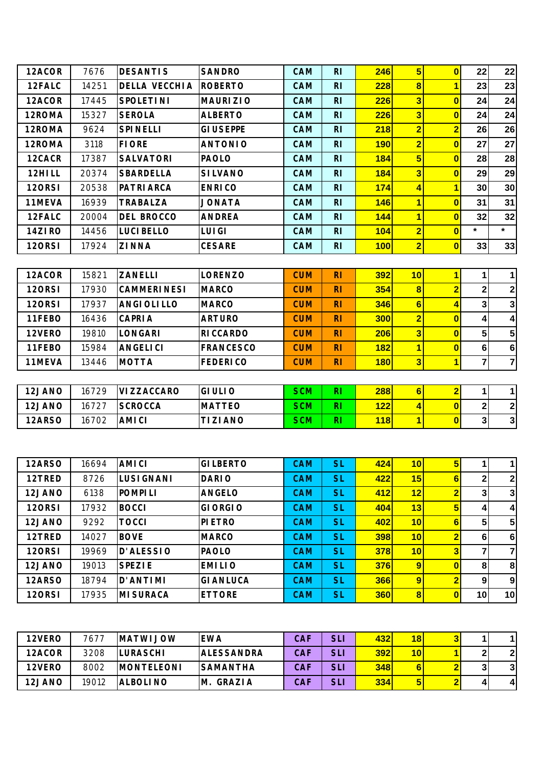| 12ACOR        | 7676  | <b>DESANTIS</b>      | <b>SANDRO</b>    | CAM        | R <sub>1</sub> | 246              | 5                       | $\bf{0}$                | 22             | 22              |
|---------------|-------|----------------------|------------------|------------|----------------|------------------|-------------------------|-------------------------|----------------|-----------------|
| 12FALC        | 14251 | <b>DELLA VECCHIA</b> | <b>ROBERTO</b>   | <b>CAM</b> | R <sub>1</sub> | 228              | $\vert 8 \vert$         | 1                       | 23             | 23              |
| 12ACOR        | 17445 | <b>SPOLETINI</b>     | <b>MAURIZIO</b>  | <b>CAM</b> | R <sub>1</sub> | 226              | $\overline{\mathbf{3}}$ | $\bf{0}$                | 24             | 24              |
| 12ROMA        | 15327 | <b>SEROLA</b>        | <b>ALBERTO</b>   | <b>CAM</b> | R <sub>1</sub> | 226              | 3                       | $\overline{0}$          | 24             | 24              |
| 12ROMA        | 9624  | <b>SPINELLI</b>      | <b>GIUSEPPE</b>  | <b>CAM</b> | R <sub>1</sub> | 218              | $\overline{2}$          | $\overline{2}$          | 26             | 26              |
| 12ROMA        | 3118  | <b>FIORE</b>         | <b>ANTONIO</b>   | <b>CAM</b> | R <sub>1</sub> | <b>190</b>       | $\overline{\mathbf{2}}$ | $\overline{0}$          | 27             | 27              |
| 12CACR        | 17387 | <b>SALVATORI</b>     | <b>PAOLO</b>     | <b>CAM</b> | R <sub>1</sub> | 184              | 5                       | $\bf{0}$                | 28             | 28              |
| 12HILL        | 20374 | <b>SBARDELLA</b>     | <b>SILVANO</b>   | CAM        | R <sub>1</sub> | 184              | $\overline{\mathbf{3}}$ | $\bf{0}$                | 29             | 29              |
| <b>120RSI</b> | 20538 | <b>PATRIARCA</b>     | <b>ENRICO</b>    | <b>CAM</b> | R <sub>1</sub> | 174              | 4                       | $\overline{\mathbf{1}}$ | 30             | 30 <sub>1</sub> |
| 11MEVA        | 16939 | TRABALZA             | <b>JONATA</b>    | CAM        | R <sub>1</sub> | 146              | 1                       | $\bf{0}$                | 31             | 31              |
| 12FALC        | 20004 | <b>DEL BROCCO</b>    | <b>ANDREA</b>    | <b>CAM</b> | R <sub>1</sub> | 144              | $\overline{\mathbf{1}}$ | $\overline{\mathbf{0}}$ | 32             | 32              |
| 14ZIRO        | 14456 | <b>LUCIBELLO</b>     | <b>LUIGI</b>     | <b>CAM</b> | R <sub>1</sub> | 104              | $\overline{2}$          | $\overline{\mathbf{0}}$ | $\star$        | $\star$         |
| <b>120RSI</b> | 17924 | <b>ZINNA</b>         | <b>CESARE</b>    | <b>CAM</b> | R <sub>1</sub> | 100              | $\overline{2}$          | $\bf{0}$                | 33             | 33              |
|               |       |                      |                  |            |                |                  |                         |                         |                |                 |
| 12ACOR        | 15821 | <b>ZANELLI</b>       | <b>LORENZO</b>   | <b>CUM</b> | R <sub>1</sub> | <b>392</b>       | 10                      | $\overline{\mathbf{1}}$ | $\mathbf 1$    | $\mathbf{1}$    |
| <b>120RSI</b> | 17930 | <b>CAMMERINESI</b>   | <b>MARCO</b>     | <b>CUM</b> | R <sub>1</sub> | 354              | 8                       | $\overline{2}$          | $\mathbf 2$    | $2\vert$        |
| <b>120RSI</b> | 17937 | <b>ANGIOLILLO</b>    | <b>MARCO</b>     | <b>CUM</b> | R <sub>1</sub> | 346              | $6\phantom{1}$          | 4                       | 3              | 3               |
| 11FEBO        | 16436 | <b>CAPRIA</b>        | <b>ARTURO</b>    | <b>CUM</b> | R <sub>1</sub> | 300              | $\overline{2}$          | $\bf{0}$                | 4              | $\overline{4}$  |
| 12VERO        | 19810 | <b>LONGARI</b>       | <b>RICCARDO</b>  | <b>CUM</b> | R <sub>1</sub> | 206              | $\overline{\mathbf{3}}$ | $\bf{0}$                | 5              | 5 <sup>1</sup>  |
| 11FEBO        | 15984 | <b>ANGELICI</b>      | <b>FRANCESCO</b> | <b>CUM</b> | <b>RI</b>      | <b>182</b>       | $\overline{1}$          | $\overline{0}$          | $\bf 6$        | 6               |
| 11MEVA        | 13446 | <b>MOTTA</b>         | <b>FEDERICO</b>  | <b>CUM</b> | R <sub>1</sub> | 180              | 3                       | $\overline{\mathbf{1}}$ | $\overline{7}$ | $\mathbf{z}$    |
|               |       |                      |                  |            |                |                  |                         |                         |                |                 |
| $12$ JANO     | 16729 | <b>VIZZACCARO</b>    | IGHILIO          | <b>SCM</b> | <b>RI</b>      | 288 <sup>1</sup> | 6I                      | $\overline{2}$          | $\mathbf{1}$   | $\mathbf{1}$    |

| 12JANO | 16729 | <b>VIZZACCARO</b> | <b>GIULIO</b>  | <b>SCM</b> | RI | 288 | 6 |        |          |
|--------|-------|-------------------|----------------|------------|----|-----|---|--------|----------|
| 12JANO | 16727 | <b>ISCROCCA</b>   | <b>IMATTEO</b> | <b>SCM</b> | RI | 122 |   | $\sim$ | $\sim$   |
| 12ARSO | 16702 | <b>IAMICI</b>     | <b>TIZIANO</b> | SCM        | RI | 118 |   | 3      | 21<br>J. |

| 12ARSO | 16694 | <b>AMICI</b>     | <b>GILBERTO</b> | <b>CAM</b> | <b>SL</b> | 424        | 10 <sup>l</sup> | 5                       |    | 11              |
|--------|-------|------------------|-----------------|------------|-----------|------------|-----------------|-------------------------|----|-----------------|
| 12TRED | 8726  | <b>LUSIGNANI</b> | <b>DARIO</b>    | <b>CAM</b> | <b>SL</b> | 422        | 15              | 6                       | 2  | $\overline{2}$  |
| 12JANO | 6138  | <b>POMPILI</b>   | <b>ANGELO</b>   | <b>CAM</b> | <b>SL</b> | 412        | 12              | $\overline{\mathbf{2}}$ | 3  | 3               |
| 12ORSI | 17932 | <b>BOCCI</b>     | <b>GIORGIO</b>  | <b>CAM</b> | <b>SL</b> | 404        | 13              | 5                       | 4  | $\overline{4}$  |
| 12JANO | 9292  | TOCCI            | <b>PIETRO</b>   | <b>CAM</b> | <b>SL</b> | 402        | 10 <sup>1</sup> | 6                       | 5  | 5 <sup>1</sup>  |
| 12TRED | 14027 | <b>BOVE</b>      | <b>MARCO</b>    | <b>CAM</b> | <b>SL</b> | 398        | 10 <sup>l</sup> | $\overline{2}$          | 6  | 6               |
| 12ORSI | 19969 | <b>D'ALESSIO</b> | <b>PAOLO</b>    | <b>CAM</b> | <b>SL</b> | <b>378</b> | 10 <sub>l</sub> | 3                       |    | 71              |
| 12JANO | 19013 | <b>SPEZIE</b>    | <b>EMILIO</b>   | <b>CAM</b> | <b>SL</b> | <b>376</b> | 9               | $\bf{0}$                | 8  | 8               |
| 12ARSO | 18794 | D'ANTIMI         | <b>GIANLUCA</b> | <b>CAM</b> | <b>SL</b> | <b>366</b> | $\overline{9}$  | $\overline{2}$          | 9  | 9               |
| 12ORSI | 17935 | IMI SURACA       | <b>ETTORE</b>   | <b>CAM</b> | <b>SL</b> | <b>360</b> | 8 <sup>1</sup>  | $\bf{0}$                | 10 | 10 <sup>1</sup> |

| 12VERO | 7677  | <b>IMATWIJOW</b>   | <b>EWA</b>         | <b>CAF</b> | <b>SLI</b> | 432 | <u> 181</u>     | 21 |   |   |
|--------|-------|--------------------|--------------------|------------|------------|-----|-----------------|----|---|---|
| 12ACOR | 3208  | <b>ILURASCHI</b>   | <b>IALESSANDRA</b> | <b>CAF</b> | <b>SLI</b> | 392 | 10 <sup>1</sup> |    |   | ◠ |
| 12VERO | 8002  | <b>IMONTELEONI</b> | <b>SAMANTHA</b>    | <b>CAF</b> | SLI        | 348 |                 |    | ິ | 3 |
| 12JANO | 19012 | <b>IALBOLINO</b>   | GRAZIA<br>IM.      | CAF        | <b>SLI</b> | 334 | 51              |    | 4 | 4 |